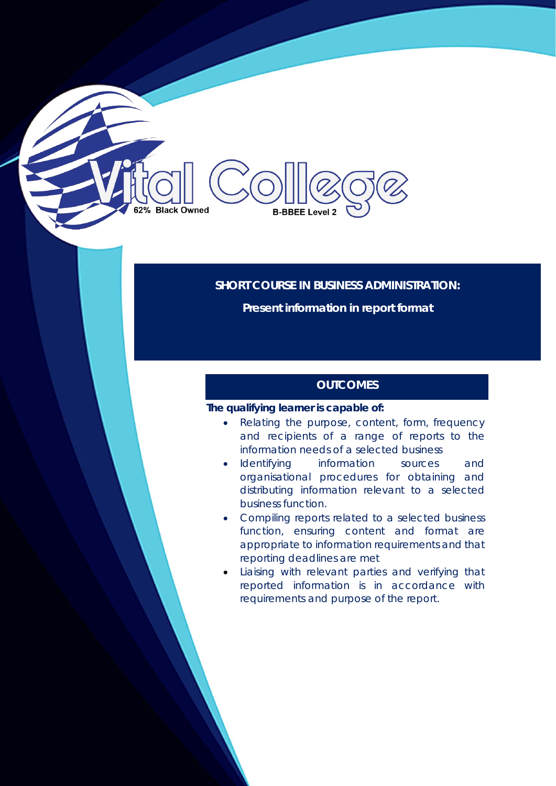# **Black Owned B-BBEE Level 2**

# **SHORT COURSE IN BUSINESS ADMINISTRATION:**

**Present information in report format** 

# **OUTCOMES**

#### **The qualifying learner is capable of:**

- Relating the purpose, content, form, frequency and recipients of a range of reports to the information needs of a selected business
- Identifying information sources and organisational procedures for obtaining and distributing information relevant to a selected business function.
- Compiling reports related to a selected business function, ensuring content and format are appropriate to information requirements and that reporting deadlines are met
- Liaising with relevant parties and verifying that reported information is in accordance with requirements and purpose of the report.